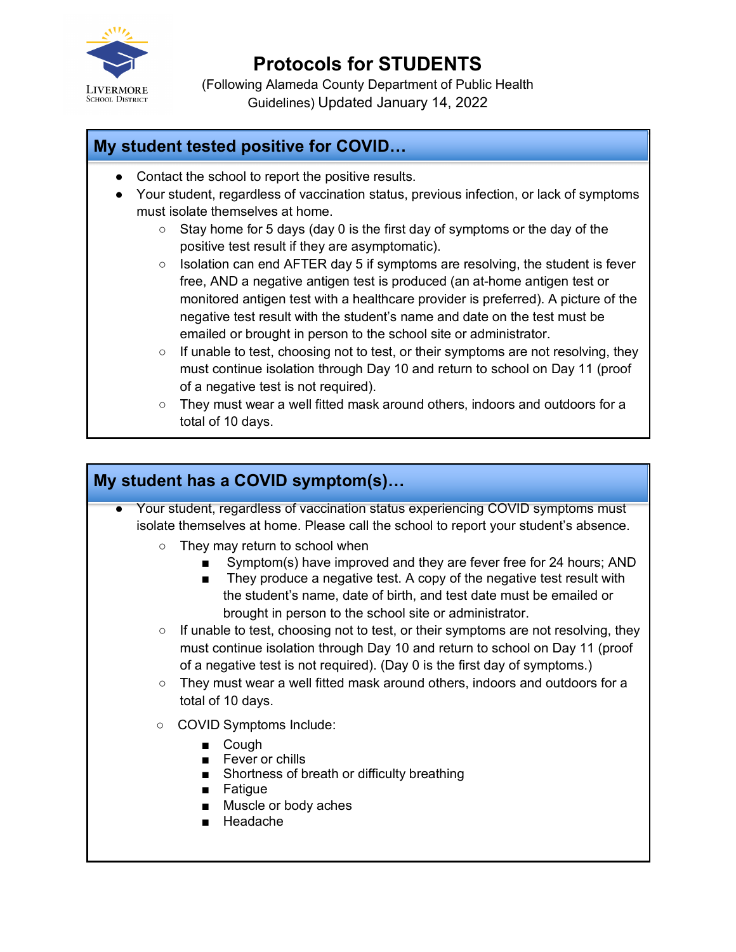

# **Protocols for STUDENTS**

(Following Alameda County Department of Public Health Guidelines) Updated January 14, 2022

### **My student tested positive for COVID…**

- Contact the school to report the positive results.
- Your student, regardless of vaccination status, previous infection, or lack of symptoms must isolate themselves at home.
	- Stay home for 5 days (day 0 is the first day of symptoms or the day of the positive test result if they are asymptomatic).
	- Isolation can end AFTER day 5 if symptoms are resolving, the student is fever free, AND a negative antigen test is produced (an at-home antigen test or monitored antigen test with a healthcare provider is preferred). A picture of the negative test result with the student's name and date on the test must be emailed or brought in person to the school site or administrator.
	- $\circ$  If unable to test, choosing not to test, or their symptoms are not resolving, they must continue isolation through Day 10 and return to school on Day 11 (proof of a negative test is not required).
	- They must wear a well fitted mask around others, indoors and outdoors for a total of 10 days.

## **My student has a COVID symptom(s)…**

- Your student, regardless of vaccination status experiencing COVID symptoms must isolate themselves at home. Please call the school to report your student's absence.
	- They may return to school when
		- Symptom(s) have improved and they are fever free for 24 hours; AND
		- They produce a negative test. A copy of the negative test result with the student's name, date of birth, and test date must be emailed or brought in person to the school site or administrator.
	- $\circ$  If unable to test, choosing not to test, or their symptoms are not resolving, they must continue isolation through Day 10 and return to school on Day 11 (proof of a negative test is not required). (Day 0 is the first day of symptoms.)
	- They must wear a well fitted mask around others, indoors and outdoors for a total of 10 days.
	- COVID Symptoms Include:
		- Cough
		- Fever or chills
		- Shortness of breath or difficulty breathing
		- Fatigue
		- Muscle or body aches
		- Headache